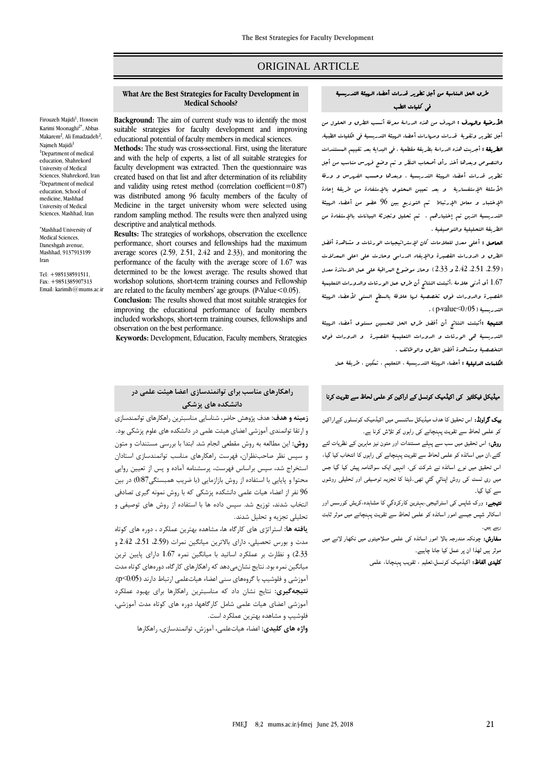# ORIGINAL ARTICLE

#### **What Are the Best Strategies for Faculty Development in Medical Schools?**

Firouzeh Majidi<sup>1</sup>, Hossein Karimi Moonaghi2\* , Abbas Makarem<sup>2</sup>, Ali Emadzadeh<sup>2</sup>, Naimeh Majidi<sup>1</sup> <sup>1</sup>Department of medical education, Shahrekord University of Medical Sciences, Shahrekord, Iran <sup>2</sup>Department of medical education, School of medicine, Mashhad University of Medical Sciences, Mashhad, Iran

\*Mashhad University of Medical Sciences, Daneshgah avenue, Mashhad, 9137913199 Iran

Tel: +985138591511, Fax: +9851385907313 Email[: karimih@mums.ac.ir](mailto:karimih@mums.ac.ir) **Background:** The aim of current study was to identify the most suitable strategies for faculty development and improving educational potential of faculty members in medical sciences.

**Methods:** The study was cross-sectional. First, using the literature and with the help of experts, a list of all suitable strategies for faculty development was extracted. Then the questionnaire was created based on that list and after determination of its reliability and validity using retest method (correlation coefficient= $0.87$ ) was distributed among 96 faculty members of the faculty of Medicine in the target university whom were selected using random sampling method. The results were then analyzed using descriptive and analytical methods.

**Results:** The strategies of workshops, observation the excellence performance, short courses and fellowships had the maximum average scores (2.59, 2.51, 2.42 and 2.33), and monitoring the performance of the faculty with the average score of 1.67 was determined to be the lowest average. The results showed that workshop solutions, short-term training courses and Fellowship are related to the faculty members' age groups. (P-Value < 0.05).

**Conclusion:** The results showed that most suitable strategies for improving the educational performance of faculty members included workshops, short-term training courses, fellowships and observation on the best performance.

**Keywords:** Development, Education, Faculty members, Strategies

## **راهکارهاي مناسب براي توانمندسازي اعضا هیئت علمی در دانشکده هاي پزشکی**

**زمینه و هدف:** هدف پژوهش حاضر، شناسايي مناسبترين راهکارهای توانمندسازی و ارتقا توانمندی آموزشي اعضای هيئت علمي در دانشکده های علوم پزشکي بود. **روش:** اين مطالعه به روش مقطعي انجام شد. ابتدا با بررسي مستندات و متون و سپس نظر صاحبنظران، فهرست راهکارهای مناسب توانمندسازی استادان استخراج شد، سپس براساس فهرست، پرسشنامه آماده و پس از تعيين روايي محتوا و پايايي با استفاده از روش بازازمايي (با ضريب همبستگي0/87) در بين 96 نفر از اعضاء هيات علمي دانشکده پزشکي که با روش نمونه گيری تصادفي انتخاب شدند، توزيع شد. سپس داده ها با استفاده از روش های توصيفي و تحليلي تجزيه و تحليل شدند.

**یافته ها:** استراتژی های کارگاه ها، مشاهده بهترين عملکرد ، دوره های کوتاه مدت و بورس تحصيلي، دارای باالترين ميانگين نمرات )،2.59 ،2.51 2.42 و 2.33( و نظارت بر عملکرد اساتيد با ميانگين نمره 1.67 دارای پايين ترين ميانگين نمره بود. نتايج نشانميدهد که راهکارهای کارگاه، دورههای کوتاه مدت آموزشي و فلوشيپ با گروههای سني اعضاء هياتعلمي ارتباط دارند )0/05<p). **نتیجهگیري:** نتايج نشان داد که مناسبترين راهکارها برای بهبود عملکرد آموزشي اعضای هيات علمي شامل کارگاهها، دوره های کوتاه مدت آموزشي، فلوشيپ و مشاهده بهترين عملکرد است.

**واژه هاي كلیدي:** اعضاء هياتعلمي، آموزش، توانمندسازی، راهکارها

## طرق الحل المناسبة من أجل تطوير قدرات أعضاء الهيئة التدريسية في كليات الطب

األرضية والهدف : الهدف من هذه الدراسة معرفة أنسب الطرق و الحلول من أجل تطوير وتقوية قدرات ومهارات أعضاء الهيئة التدريسية في الكليات الطبية. الطريقة : أجريت هذه الدراسة بطريقة مقطعية . في البداية بعد تقييم المستندات والنصوص وبعدها أخذ رأي أصحاب النظر و تم وضع فهرس مناسب من أجل تطوير قدرات أعضاء الهيئة التدريسية . وبعدها وحسب الفهرس و ورقة الأسئلة الإستفسارية و بعد تعيين البحتوى بالإستفادة من طريقة إعادة اإلختبار و معامل اإلرتباط تم التوزيع بين 96 عضو من أعضاء الهيئة التدريسية الذين تم إختيارهم . تم تحليل وتجزئة البيانات باإلستفادة من الطريقة التحليلية والتوصيفية .

الحاصل : أعلى معدل للعالمات كان إلستراتيجيات الورشات و مشاهدة أفضل الطرق و الدورات القصيرة واإليفاد الدراسي وحازت على اعلى المعدالت )،2.59 ،2.51 2.42 و 2.33( وحاز موضوع المراقبة على عمل االساتذة معدل 1.67 أي أدنى عالمة .أثبتت النتائج أن طرق عمل الورشات والدورات التعليمية القصيرة والدورات فوق تخصصية لها علاقة بالسطح السنى لأعضاء الهيئة . (p-value $<$ 0/05) التدريسية ( $\sim$ 

**النتيجة :**أثبتت النتائج أن أفضل طرق الحل لتحسين مستوى أعضاء ال*رم*يثة التدريسية هي الورشات و الدورات التعليمية القصيرة و الدورات فوق التخصصية ومشاهدة أفضل الطرق والوظائف .

ا**لكلمات الدليلية :** أعضاء الربيثة التدريسية ، التعليم ، تمكين ، طريقة عمل

## میڈیکل فیکلٹیز کی اکیڈمیک کونسل کے اراکین کو علمی لحاظ سے تقویت کرنا

بیک گراونڈ: اس تحقیق کا ھدف میڈیکل سائنسس میں اکیڈمیک کونسلوں کےاراکین کو علمی لحاظ سے تقویت پہنچانے کی راہوں کو تلاش کرنا ہے۔

روش: اس تحقیق میں سب سے پہلے مستندات اور متون نیز ماہرین کے نظریات لئے گئے،ان میں اساتذہ کو علمی لحاظ سے تقویت پہنچانے کی راہوں کا انتخاب کیا گيا، اس تحقیق میں نوے اساتذہ نے شرکت کی، انہیں ایک سوالنامہ پیش کیا گیا جس میں ری ٹسٹ کی روش اپنائي گئي تھی۔ڈیٹا کا تجزیہ توصیفی اور تحلیلی روشوں سے کیا گيا۔

نتیجے: ورک شاپس کی اسٹراٹیجی،بہترین کارکردگي کا مشاہدہ،کریش کورسس اور اسکالر شپس جیسے امور اساتذہ کو علمی لحاظ سے تقویت پہنچانے میں موثر ثابت رہے ہیں۔

سفارش: چونکہ مندرجہ بالا امور اساتذہ کی علمی صلاحیتوں میں نکھار لانے میں موثر ہیں لھذا ان پر عمل کیا جانا چاہیے۔

کلیدی الفاظ: اکیڈمیک کونسل،تعلیم ، تقویب پہنچانا، علمی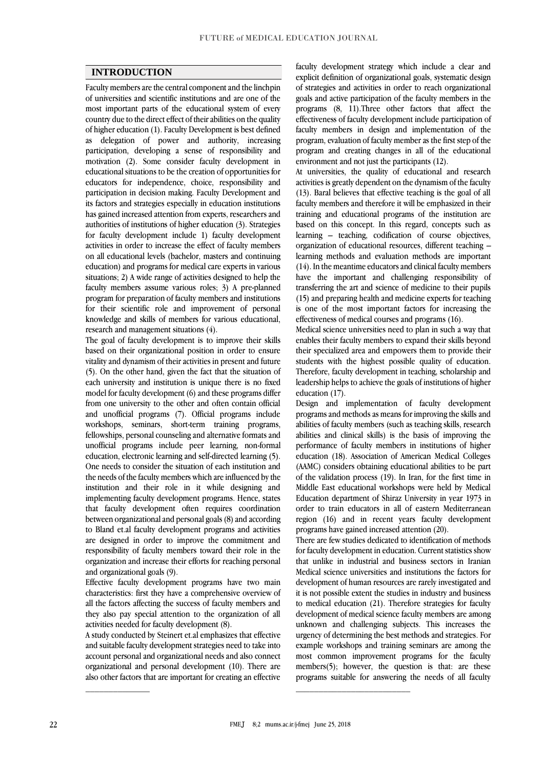#### **INTRODUCTION**

Faculty members are the central component and the linchpin of universities and scientific institutions and are one of the most important parts of the educational system of every country due to the direct effect of their abilities on the quality of higher education (1). Faculty Development is best defined as delegation of power and authority, increasing participation, developing a sense of responsibility and motivation (2). Some consider faculty development in educational situations to be the creation of opportunities for educators for independence, choice, responsibility and participation in decision making. Faculty Development and its factors and strategies especially in education institutions has gained increased attention from experts, researchers and authorities of institutions of higher education (3). Strategies for faculty development include 1) faculty development activities in order to increase the effect of faculty members on all educational levels (bachelor, masters and continuing education) and programs for medical care experts in various situations; 2) A wide range of activities designed to help the faculty members assume various roles; 3) A pre-planned program for preparation of faculty members and institutions for their scientific role and improvement of personal knowledge and skills of members for various educational, research and management situations (4).

The goal of faculty development is to improve their skills based on their organizational position in order to ensure vitality and dynamism of their activities in present and future (5). On the other hand, given the fact that the situation of each university and institution is unique there is no fixed model for faculty development (6) and these programs differ from one university to the other and often contain official and unofficial programs (7). Official programs include workshops, seminars, short-term training programs, fellowships, personal counseling and alternative formats and unofficial programs include peer learning, non-formal education, electronic learning and self-directed learning (5). One needs to consider the situation of each institution and the needs of the faculty members which are influenced by the institution and their role in it while designing and implementing faculty development programs. Hence, states that faculty development often requires coordination between organizational and personal goals (8) and according to Bland et.al faculty development programs and activities are designed in order to improve the commitment and responsibility of faculty members toward their role in the organization and increase their efforts for reaching personal and organizational goals (9).

Effective faculty development programs have two main characteristics: first they have a comprehensive overview of all the factors affecting the success of faculty members and they also pay special attention to the organization of all activities needed for faculty development (8).

A study conducted by Steinert et.al emphasizes that effective and suitable faculty development strategies need to take into account personal and organizational needs and also connect organizational and personal development (10). There are also other factors that are important for creating an effective

faculty development strategy which include a clear and explicit definition of organizational goals, systematic design of strategies and activities in order to reach organizational goals and active participation of the faculty members in the programs (8, 11).Three other factors that affect the effectiveness of faculty development include participation of faculty members in design and implementation of the program, evaluation of faculty member as the first step of the program and creating changes in all of the educational environment and not just the participants (12).

At universities, the quality of educational and research activities is greatly dependent on the dynamism of the faculty (13). Baral believes that effective teaching is the goal of all faculty members and therefore it will be emphasized in their training and educational programs of the institution are based on this concept. In this regard, concepts such as learning – teaching, codification of course objectives, organization of educational resources, different teaching – learning methods and evaluation methods are important (14). In the meantime educators and clinical faculty members have the important and challenging responsibility of transferring the art and science of medicine to their pupils (15) and preparing health and medicine experts for teaching is one of the most important factors for increasing the effectiveness of medical courses and programs (16).

Medical science universities need to plan in such a way that enables their faculty members to expand their skills beyond their specialized area and empowers them to provide their students with the highest possible quality of education. Therefore, faculty development in teaching, scholarship and leadership helps to achieve the goals of institutions of higher education (17).

Design and implementation of faculty development programs and methods as means for improving the skills and abilities of faculty members (such as teaching skills, research abilities and clinical skills) is the basis of improving the performance of faculty members in institutions of higher education (18). Association of American Medical Colleges (AAMC) considers obtaining educational abilities to be part of the validation process (19). In Iran, for the first time in Middle East educational workshops were held by Medical Education department of Shiraz University in year 1973 in order to train educators in all of eastern Mediterranean region (16) and in recent years faculty development programs have gained increased attention (20).

There are few studies dedicated to identification of methods for faculty development in education. Current statistics show that unlike in industrial and business sectors in Iranian Medical science universities and institutions the factors for development of human resources are rarely investigated and it is not possible extent the studies in industry and business to medical education (21). Therefore strategies for faculty development of medical science faculty members are among unknown and challenging subjects. This increases the urgency of determining the best methods and strategies. For example workshops and training seminars are among the most common improvement programs for the faculty members(5); however, the question is that: are these programs suitable for answering the needs of all faculty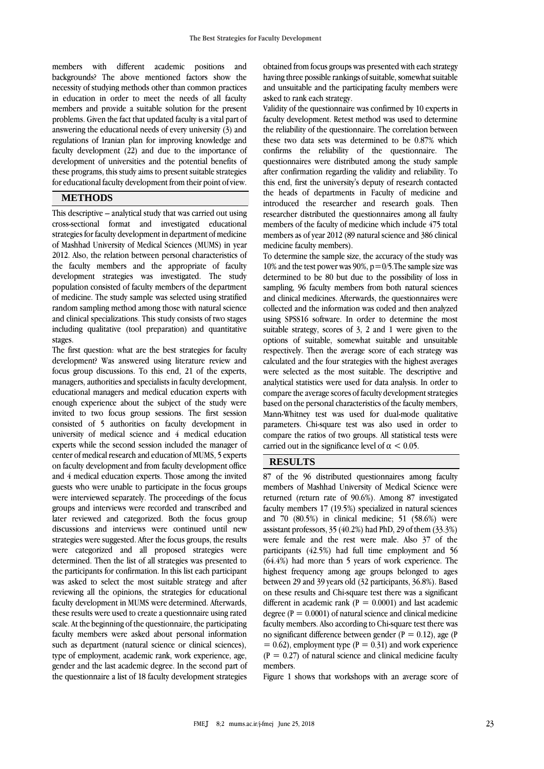members with different academic positions and backgrounds? The above mentioned factors show the necessity of studying methods other than common practices in education in order to meet the needs of all faculty members and provide a suitable solution for the present problems. Given the fact that updated faculty is a vital part of answering the educational needs of every university (3) and regulations of Iranian plan for improving knowledge and faculty development (22) and due to the importance of development of universities and the potential benefits of these programs, this study aims to present suitable strategies for educational faculty development from their point of view.

## **METHODS**

This descriptive – analytical study that was carried out using cross-sectional format and investigated educational strategies for faculty development in department of medicine of Mashhad University of Medical Sciences (MUMS) in year 2012. Also, the relation between personal characteristics of the faculty members and the appropriate of faculty development strategies was investigated. The study population consisted of faculty members of the department of medicine. The study sample was selected using stratified random sampling method among those with natural science and clinical specializations. This study consists of two stages including qualitative (tool preparation) and quantitative stages.

The first question: what are the best strategies for faculty development? Was answered using literature review and focus group discussions. To this end, 21 of the experts, managers, authorities and specialists in faculty development, educational managers and medical education experts with enough experience about the subject of the study were invited to two focus group sessions. The first session consisted of 5 authorities on faculty development in university of medical science and 4 medical education experts while the second session included the manager of center of medical research and education of MUMS, 5 experts on faculty development and from faculty development office and 4 medical education experts. Those among the invited guests who were unable to participate in the focus groups were interviewed separately. The proceedings of the focus groups and interviews were recorded and transcribed and later reviewed and categorized. Both the focus group discussions and interviews were continued until new strategies were suggested. After the focus groups, the results were categorized and all proposed strategies were determined. Then the list of all strategies was presented to the participants for confirmation. In this list each participant was asked to select the most suitable strategy and after reviewing all the opinions, the strategies for educational faculty development in MUMS were determined. Afterwards, these results were used to create a questionnaire using rated scale. At the beginning of the questionnaire, the participating faculty members were asked about personal information such as department (natural science or clinical sciences), type of employment, academic rank, work experience, age, gender and the last academic degree. In the second part of the questionnaire a list of 18 faculty development strategies

obtained from focus groups was presented with each strategy having three possible rankings of suitable, somewhat suitable and unsuitable and the participating faculty members were asked to rank each strategy.

Validity of the questionnaire was confirmed by 10 experts in faculty development. Retest method was used to determine the reliability of the questionnaire. The correlation between these two data sets was determined to be 0.87% which confirms the reliability of the questionnaire. The questionnaires were distributed among the study sample after confirmation regarding the validity and reliability. To this end, first the university's deputy of research contacted the heads of departments in Faculty of medicine and introduced the researcher and research goals. Then researcher distributed the questionnaires among all faulty members of the faculty of medicine which include 475 total members as of year 2012 (89 natural science and 386 clinical medicine faculty members).

To determine the sample size, the accuracy of the study was 10% and the test power was 90%,  $p=0/5$ . The sample size was determined to be 80 but due to the possibility of loss in sampling, 96 faculty members from both natural sciences and clinical medicines. Afterwards, the questionnaires were collected and the information was coded and then analyzed using SPSS16 software. In order to determine the most suitable strategy, scores of 3, 2 and 1 were given to the options of suitable, somewhat suitable and unsuitable respectively. Then the average score of each strategy was calculated and the four strategies with the highest averages were selected as the most suitable. The descriptive and analytical statistics were used for data analysis. In order to compare the average scores of faculty development strategies based on the personal characteristics of the faculty members, Mann-Whitney test was used for dual-mode qualitative parameters. Chi-square test was also used in order to compare the ratios of two groups. All statistical tests were carried out in the significance level of  $\alpha$  < 0.05.

## **RESULTS**

87 of the 96 distributed questionnaires among faculty members of Mashhad University of Medical Science were returned (return rate of 90.6%). Among 87 investigated faculty members 17 (19.5%) specialized in natural sciences and 70 (80.5%) in clinical medicine; 51 (58.6%) were assistant professors, 35 (40.2%) had PhD, 29 of them (33.3%) were female and the rest were male. Also 37 of the participants (42.5%) had full time employment and 56 (64.4%) had more than 5 years of work experience. The highest frequency among age groups belonged to ages between 29 and 39 years old (32 participants, 36.8%). Based on these results and Chi-square test there was a significant different in academic rank ( $P = 0.0001$ ) and last academic degree ( $P = 0.0001$ ) of natural science and clinical medicine faculty members. Also according to Chi-square test there was no significant difference between gender ( $P = 0.12$ ), age (P  $= 0.62$ ), employment type (P = 0.31) and work experience  $(P = 0.27)$  of natural science and clinical medicine faculty members.

Figure 1 shows that workshops with an average score of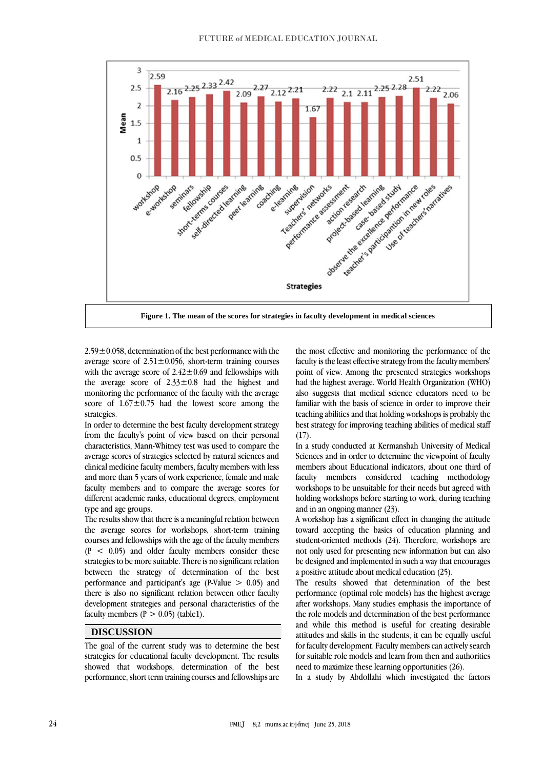

 $2.59\pm0.058$ , determination of the best performance with the average score of  $2.51 \pm 0.056$ , short-term training courses with the average score of  $2.42 \pm 0.69$  and fellowships with the average score of  $2.33 \pm 0.8$  had the highest and monitoring the performance of the faculty with the average score of  $1.67 \pm 0.75$  had the lowest score among the strategies.

In order to determine the best faculty development strategy from the faculty's point of view based on their personal characteristics, Mann-Whitney test was used to compare the average scores of strategies selected by natural sciences and clinical medicine faculty members, faculty members with less and more than 5 years of work experience, female and male faculty members and to compare the average scores for different academic ranks, educational degrees, employment type and age groups.

The results show that there is a meaningful relation between the average scores for workshops, short-term training courses and fellowships with the age of the faculty members  $(P < 0.05)$  and older faculty members consider these strategies to be more suitable. There is no significant relation between the strategy of determination of the best performance and participant's age (P-Value > 0.05) and there is also no significant relation between other faculty development strategies and personal characteristics of the faculty members  $(P > 0.05)$  (table1).

## **DISCUSSION**

The goal of the current study was to determine the best strategies for educational faculty development. The results showed that workshops, determination of the best performance, short term training courses and fellowships are the most effective and monitoring the performance of the faculty is the least effective strategy from the faculty members' point of view. Among the presented strategies workshops had the highest average. World Health Organization (WHO) also suggests that medical science educators need to be familiar with the basis of science in order to improve their teaching abilities and that holding workshops is probably the best strategy for improving teaching abilities of medical staff  $(17)$ .

In a study conducted at Kermanshah University of Medical Sciences and in order to determine the viewpoint of faculty members about Educational indicators, about one third of faculty members considered teaching methodology workshops to be unsuitable for their needs but agreed with holding workshops before starting to work, during teaching and in an ongoing manner (23).

A workshop has a significant effect in changing the attitude toward accepting the basics of education planning and student-oriented methods (24). Therefore, workshops are not only used for presenting new information but can also be designed and implemented in such a way that encourages a positive attitude about medical education (25).

The results showed that determination of the best performance (optimal role models) has the highest average after workshops. Many studies emphasis the importance of the role models and determination of the best performance and while this method is useful for creating desirable attitudes and skills in the students, it can be equally useful for faculty development. Faculty members can actively search for suitable role models and learn from then and authorities need to maximize these learning opportunities (26).

In a study by Abdollahi which investigated the factors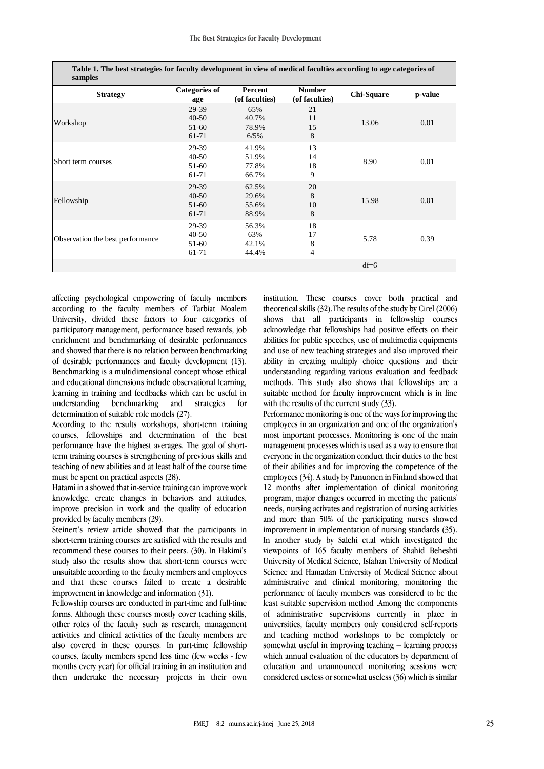| Table 1. The best strategies for faculty development in view of medical faculties according to age categories of<br>samples |                                        |                                  |                                 |                   |         |
|-----------------------------------------------------------------------------------------------------------------------------|----------------------------------------|----------------------------------|---------------------------------|-------------------|---------|
| <b>Strategy</b>                                                                                                             | <b>Categories of</b><br>age            | Percent<br>(of faculties)        | <b>Number</b><br>(of faculties) | <b>Chi-Square</b> | p-value |
| Workshop                                                                                                                    | 29-39<br>$40 - 50$<br>$51-60$<br>61-71 | 65%<br>40.7%<br>78.9%<br>6/5%    | 21<br>11<br>15<br>8             | 13.06             | 0.01    |
| Short term courses                                                                                                          | 29-39<br>$40 - 50$<br>$51-60$<br>61-71 | 41.9%<br>51.9%<br>77.8%<br>66.7% | 13<br>14<br>18<br>9             | 8.90              | 0.01    |
| Fellowship                                                                                                                  | 29-39<br>$40 - 50$<br>$51-60$<br>61-71 | 62.5%<br>29.6%<br>55.6%<br>88.9% | 20<br>8<br>10<br>8              | 15.98             | 0.01    |
| Observation the best performance                                                                                            | 29-39<br>$40 - 50$<br>$51-60$<br>61-71 | 56.3%<br>63%<br>42.1%<br>44.4%   | 18<br>17<br>8<br>$\overline{4}$ | 5.78              | 0.39    |
|                                                                                                                             |                                        |                                  |                                 | $df=6$            |         |

affecting psychological empowering of faculty members according to the faculty members of Tarbiat Moalem University, divided these factors to four categories of participatory management, performance based rewards, job enrichment and benchmarking of desirable performances and showed that there is no relation between benchmarking of desirable performances and faculty development (13). Benchmarking is a multidimensional concept whose ethical and educational dimensions include observational learning, learning in training and feedbacks which can be useful in understanding benchmarking and strategies for determination of suitable role models (27).

According to the results workshops, short-term training courses, fellowships and determination of the best performance have the highest averages. The goal of shortterm training courses is strengthening of previous skills and teaching of new abilities and at least half of the course time must be spent on practical aspects (28).

Hatami in a showed that in-service training can improve work knowledge, create changes in behaviors and attitudes, improve precision in work and the quality of education provided by faculty members (29).

Steinert's review article showed that the participants in short-term training courses are satisfied with the results and recommend these courses to their peers. (30). In Hakimi's study also the results show that short-term courses were unsuitable according to the faculty members and employees and that these courses failed to create a desirable improvement in knowledge and information (31).

Fellowship courses are conducted in part-time and full-time forms. Although these courses mostly cover teaching skills, other roles of the faculty such as research, management activities and clinical activities of the faculty members are also covered in these courses. In part-time fellowship courses, faculty members spend less time (few weeks - few months every year) for official training in an institution and then undertake the necessary projects in their own

institution. These courses cover both practical and theoretical skills (32).The results of the study by Cirel (2006) shows that all participants in fellowship courses acknowledge that fellowships had positive effects on their abilities for public speeches, use of multimedia equipments and use of new teaching strategies and also improved their ability in creating multiply choice questions and their understanding regarding various evaluation and feedback methods. This study also shows that fellowships are a suitable method for faculty improvement which is in line with the results of the current study (33).

Performance monitoring is one of the ways for improving the employees in an organization and one of the organization's most important processes. Monitoring is one of the main management processes which is used as a way to ensure that everyone in the organization conduct their duties to the best of their abilities and for improving the competence of the employees (34). A study by Panuonen in Finland showed that 12 months after implementation of clinical monitoring program, major changes occurred in meeting the patients' needs, nursing activates and registration of nursing activities and more than 50% of the participating nurses showed improvement in implementation of nursing standards (35). In another study by Salehi et.al which investigated the viewpoints of 165 faculty members of Shahid Beheshti University of Medical Science, Isfahan University of Medical Science and Hamadan University of Medical Science about administrative and clinical monitoring, monitoring the performance of faculty members was considered to be the least suitable supervision method .Among the components of administrative supervisions currently in place in universities, faculty members only considered self-reports and teaching method workshops to be completely or somewhat useful in improving teaching – learning process which annual evaluation of the educators by department of education and unannounced monitoring sessions were considered useless or somewhat useless (36) which is similar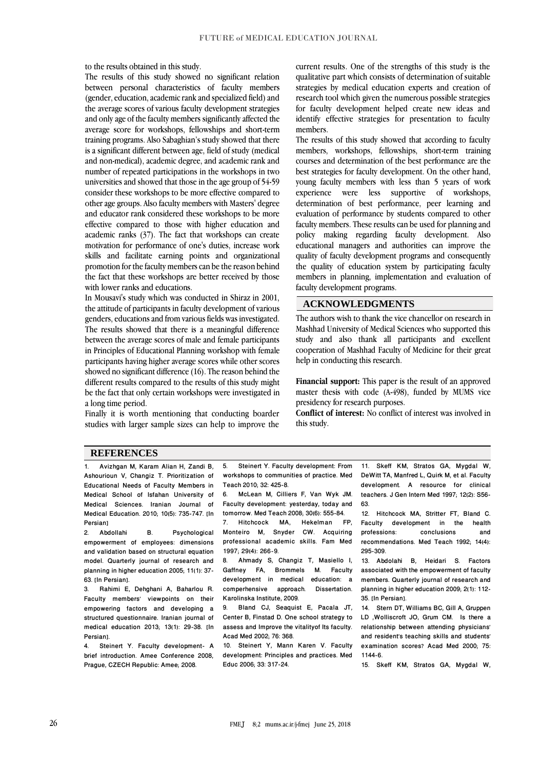to the results obtained in this study.

The results of this study showed no significant relation between personal characteristics of faculty members (gender, education, academic rank and specialized field) and the average scores of various faculty development strategies and only age of the faculty members significantly affected the average score for workshops, fellowships and short-term training programs. Also Sabaghian's study showed that there is a significant different between age, field of study (medical and non-medical), academic degree, and academic rank and number of repeated participations in the workshops in two universities and showed that those in the age group of 54-59 consider these workshops to be more effective compared to other age groups. Also faculty members with Masters' degree and educator rank considered these workshops to be more effective compared to those with higher education and academic ranks (37). The fact that workshops can create motivation for performance of one's duties, increase work skills and facilitate earning points and organizational promotion for the faculty members can be the reason behind the fact that these workshops are better received by those with lower ranks and educations.

In Mousavi's study which was conducted in Shiraz in 2001, the attitude of participants in faculty development of various genders, educations and from various fields was investigated. The results showed that there is a meaningful difference between the average scores of male and female participants in Principles of Educational Planning workshop with female participants having higher average scores while other scores showed no significant difference (16). The reason behind the different results compared to the results of this study might be the fact that only certain workshops were investigated in a long time period.

Finally it is worth mentioning that conducting boarder studies with larger sample sizes can help to improve the current results. One of the strengths of this study is the qualitative part which consists of determination of suitable strategies by medical education experts and creation of research tool which given the numerous possible strategies for faculty development helped create new ideas and identify effective strategies for presentation to faculty members.

The results of this study showed that according to faculty members, workshops, fellowships, short-term training courses and determination of the best performance are the best strategies for faculty development. On the other hand, young faculty members with less than 5 years of work experience were less supportive of workshops, determination of best performance, peer learning and evaluation of performance by students compared to other faculty members. These results can be used for planning and policy making regarding faculty development. Also educational managers and authorities can improve the quality of faculty development programs and consequently the quality of education system by participating faculty members in planning, implementation and evaluation of faculty development programs.

### **ACKNOWLEDGMENTS**

The authors wish to thank the vice chancellor on research in Mashhad University of Medical Sciences who supported this study and also thank all participants and excellent cooperation of Mashhad Faculty of Medicine for their great help in conducting this research.

**Financial support:** This paper is the result of an approved master thesis with code (A-498), funded by MUMS vice presidency for research purposes.

**Conflict of interest:** No conflict of interest was involved in this study.

#### **REFERENCES**

1. Avizhgan M, Karam Alian H, Zandi B, Ashourioun V, Changiz T. Prioritization of Educational Needs of Faculty Members in Medical School of Isfahan University of Medical Sciences. Iranian Journal of Medical Education. 2010; 10(5): 735-747. [In Persian]<br>2. Abdollahi

B. Psychological empowerment of employees: dimensions and validation based on structural equation model. Quarterly journal of research and planning in higher education 2005; 11(1): 37- 63. [In Persian].<br>3. Rahimi E.

3. Rahimi E, Dehghani A, Baharlou R. Faculty members' viewpoints on their empowering factors and developing a structured questionnaire. Iranian journal of medical education 2013; 13(1): 29-38. [In Persian].<br>4. Stei

Steinert Y. Faculty development- A brief introduction. Amee Conference 2008, Prague, CZECH Republic: Amee; 2008.

5. Steinert Y. Faculty development: From workshops to communities of practice. Med Teach 2010; 32: 425-8.

6. McLean M, Cilliers F, Van Wyk JM. Faculty development: yesterday, today and tomorrow. Med Teach 2008; 30(6): 555-84.<br>7. Hitchcock MA, Hekelman F Hitchcock MA, Hekelman FP, Monteiro M, Snyder CW. Acquiring professional academic skills. Fam Med 1997; 29(4): 266-9.

8. Ahmady S, Changiz T, Masiello I, Gaffney FA, Brommels M. Faculty development in medical education: a<br>comperhensive approach Dissertation comperhensive approach. Karolinska Institute, 2009.

9. Bland CJ, Seaquist E, Pacala JT, Center B, Finstad D. One school strategy to assess and Improve the vitalityof Its faculty. Acad Med 2002; 76: 368.

10. Steinert Y, Mann Karen V. Faculty development: Principles and practices. Med Educ 2006; 33: 317-24.

11. Skeff KM, Stratos GA, Mygdal W, DeWitt TA, Manfred L, Quirk M, et al. Faculty development. A resource for clinical teachers. J Gen Intern Med 1997; 12(2): S56- 63.

12. Hitchcock MA, Stritter FT, Bland C.<br>Faculty development in the health Faculty development in the health<br>professions: conclusions and conclusions recommendations. Med Teach 1992; 14(4): 295-309.

13. Abdolahi B, Heidari S. Factors associated with the empowerment of faculty members. Quarterly journal of research and planning in higher education 2009; 2(1): 112- 35. [In Persian].

14. Stern DT, Williams BC, Gill A, Gruppen LD ,Wolliscroft JO, Grum CM. Is there a relationship between attending physicians' and resident's teaching skills and students' examination scores? Acad Med 2000; 75: 1144-6.

15. Skeff KM, Stratos GA, Mygdal W,